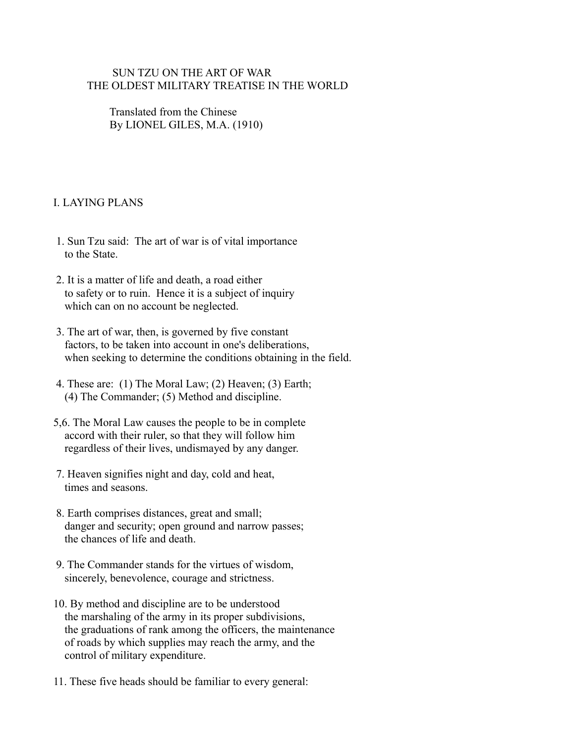### SUN TZU ON THE ART OF WAR THE OLDEST MILITARY TREATISE IN THE WORLD

 Translated from the Chinese By LIONEL GILES, M.A. (1910)

# I. LAYING PLANS

- 1. Sun Tzu said: The art of war is of vital importance to the State.
- 2. It is a matter of life and death, a road either to safety or to ruin. Hence it is a subject of inquiry which can on no account be neglected.
- 3. The art of war, then, is governed by five constant factors, to be taken into account in one's deliberations, when seeking to determine the conditions obtaining in the field.
- 4. These are: (1) The Moral Law; (2) Heaven; (3) Earth; (4) The Commander; (5) Method and discipline.
- 5,6. The Moral Law causes the people to be in complete accord with their ruler, so that they will follow him regardless of their lives, undismayed by any danger.
- 7. Heaven signifies night and day, cold and heat, times and seasons.
- 8. Earth comprises distances, great and small; danger and security; open ground and narrow passes; the chances of life and death
- 9. The Commander stands for the virtues of wisdom, sincerely, benevolence, courage and strictness.
- 10. By method and discipline are to be understood the marshaling of the army in its proper subdivisions, the graduations of rank among the officers, the maintenance of roads by which supplies may reach the army, and the control of military expenditure.
- 11. These five heads should be familiar to every general: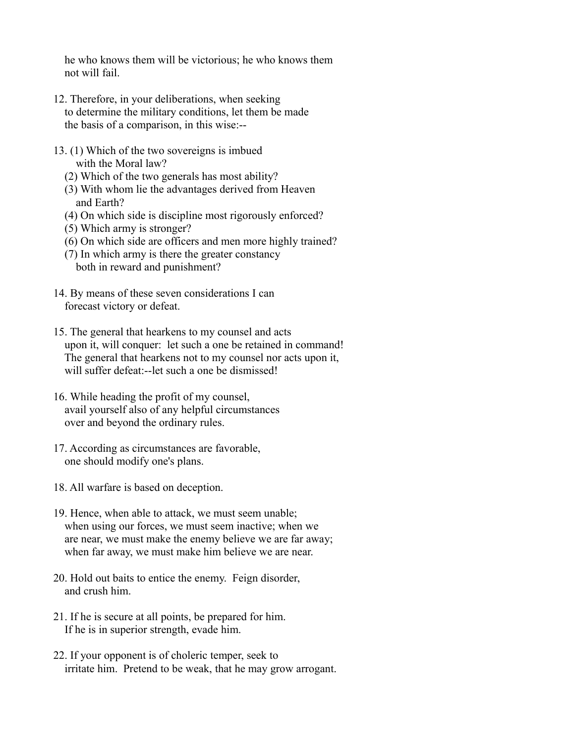he who knows them will be victorious; he who knows them not will fail.

- 12. Therefore, in your deliberations, when seeking to determine the military conditions, let them be made the basis of a comparison, in this wise:--
- 13. (1) Which of the two sovereigns is imbued with the Moral law?
	- (2) Which of the two generals has most ability?
	- (3) With whom lie the advantages derived from Heaven and Earth?
	- (4) On which side is discipline most rigorously enforced?
	- (5) Which army is stronger?
	- (6) On which side are officers and men more highly trained?
	- (7) In which army is there the greater constancy both in reward and punishment?
- 14. By means of these seven considerations I can forecast victory or defeat.
- 15. The general that hearkens to my counsel and acts upon it, will conquer: let such a one be retained in command! The general that hearkens not to my counsel nor acts upon it, will suffer defeat:--let such a one be dismissed!
- 16. While heading the profit of my counsel, avail yourself also of any helpful circumstances over and beyond the ordinary rules.
- 17. According as circumstances are favorable, one should modify one's plans.
- 18. All warfare is based on deception.
- 19. Hence, when able to attack, we must seem unable; when using our forces, we must seem inactive; when we are near, we must make the enemy believe we are far away; when far away, we must make him believe we are near.
- 20. Hold out baits to entice the enemy. Feign disorder, and crush him.
- 21. If he is secure at all points, be prepared for him. If he is in superior strength, evade him.
- 22. If your opponent is of choleric temper, seek to irritate him. Pretend to be weak, that he may grow arrogant.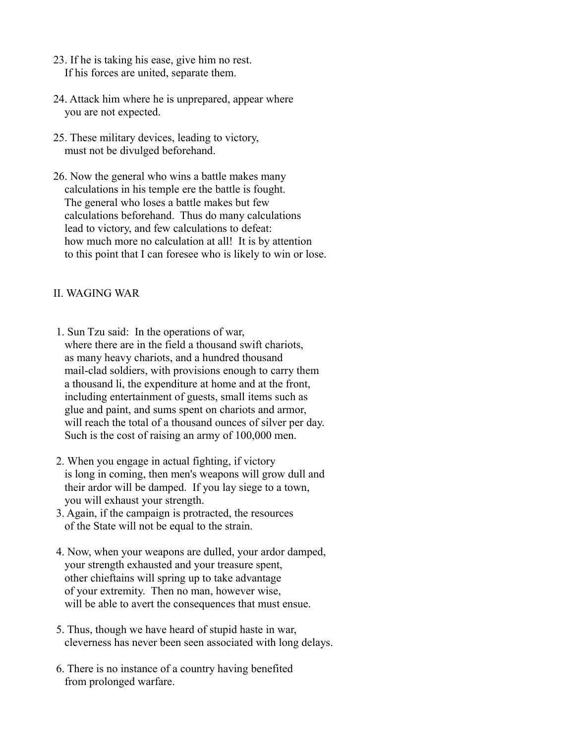- 23. If he is taking his ease, give him no rest. If his forces are united, separate them.
- 24. Attack him where he is unprepared, appear where you are not expected.
- 25. These military devices, leading to victory, must not be divulged beforehand.
- 26. Now the general who wins a battle makes many calculations in his temple ere the battle is fought. The general who loses a battle makes but few calculations beforehand. Thus do many calculations lead to victory, and few calculations to defeat: how much more no calculation at all! It is by attention to this point that I can foresee who is likely to win or lose.

### II. WAGING WAR

- 1. Sun Tzu said: In the operations of war, where there are in the field a thousand swift chariots, as many heavy chariots, and a hundred thousand mail-clad soldiers, with provisions enough to carry them a thousand li, the expenditure at home and at the front, including entertainment of guests, small items such as glue and paint, and sums spent on chariots and armor, will reach the total of a thousand ounces of silver per day. Such is the cost of raising an army of 100,000 men.
- 2. When you engage in actual fighting, if victory is long in coming, then men's weapons will grow dull and their ardor will be damped. If you lay siege to a town, you will exhaust your strength.
- 3. Again, if the campaign is protracted, the resources of the State will not be equal to the strain.
- 4. Now, when your weapons are dulled, your ardor damped, your strength exhausted and your treasure spent, other chieftains will spring up to take advantage of your extremity. Then no man, however wise, will be able to avert the consequences that must ensue.
- 5. Thus, though we have heard of stupid haste in war, cleverness has never been seen associated with long delays.
- 6. There is no instance of a country having benefited from prolonged warfare.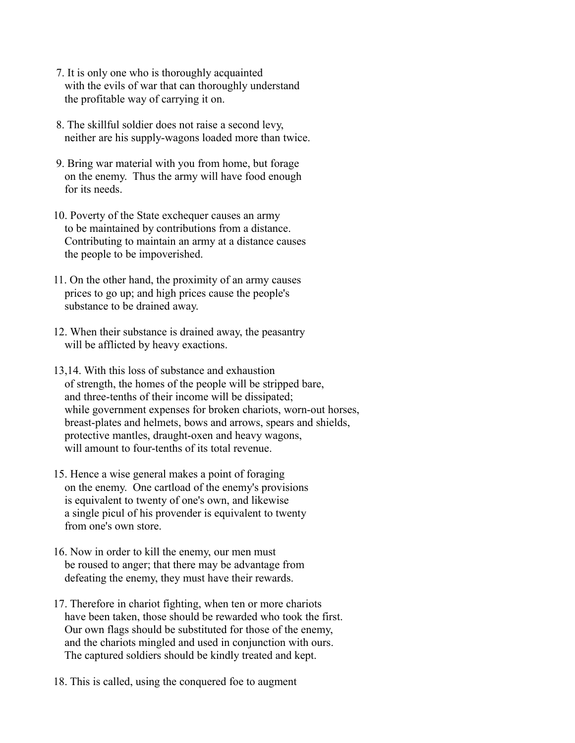- 7. It is only one who is thoroughly acquainted with the evils of war that can thoroughly understand the profitable way of carrying it on.
- 8. The skillful soldier does not raise a second levy, neither are his supply-wagons loaded more than twice.
- 9. Bring war material with you from home, but forage on the enemy. Thus the army will have food enough for its needs.
- 10. Poverty of the State exchequer causes an army to be maintained by contributions from a distance. Contributing to maintain an army at a distance causes the people to be impoverished.
- 11. On the other hand, the proximity of an army causes prices to go up; and high prices cause the people's substance to be drained away.
- 12. When their substance is drained away, the peasantry will be afflicted by heavy exactions.
- 13,14. With this loss of substance and exhaustion of strength, the homes of the people will be stripped bare, and three-tenths of their income will be dissipated; while government expenses for broken chariots, worn-out horses, breast-plates and helmets, bows and arrows, spears and shields, protective mantles, draught-oxen and heavy wagons, will amount to four-tenths of its total revenue.
- 15. Hence a wise general makes a point of foraging on the enemy. One cartload of the enemy's provisions is equivalent to twenty of one's own, and likewise a single picul of his provender is equivalent to twenty from one's own store.
- 16. Now in order to kill the enemy, our men must be roused to anger; that there may be advantage from defeating the enemy, they must have their rewards.
- 17. Therefore in chariot fighting, when ten or more chariots have been taken, those should be rewarded who took the first. Our own flags should be substituted for those of the enemy, and the chariots mingled and used in conjunction with ours. The captured soldiers should be kindly treated and kept.
- 18. This is called, using the conquered foe to augment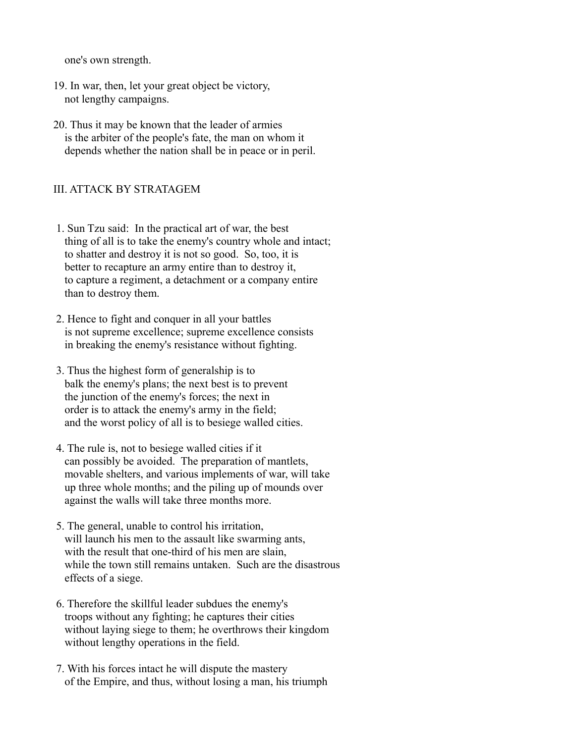one's own strength.

- 19. In war, then, let your great object be victory, not lengthy campaigns.
- 20. Thus it may be known that the leader of armies is the arbiter of the people's fate, the man on whom it depends whether the nation shall be in peace or in peril.

#### III. ATTACK BY STRATAGEM

- 1. Sun Tzu said: In the practical art of war, the best thing of all is to take the enemy's country whole and intact; to shatter and destroy it is not so good. So, too, it is better to recapture an army entire than to destroy it, to capture a regiment, a detachment or a company entire than to destroy them.
- 2. Hence to fight and conquer in all your battles is not supreme excellence; supreme excellence consists in breaking the enemy's resistance without fighting.
- 3. Thus the highest form of generalship is to balk the enemy's plans; the next best is to prevent the junction of the enemy's forces; the next in order is to attack the enemy's army in the field; and the worst policy of all is to besiege walled cities.
- 4. The rule is, not to besiege walled cities if it can possibly be avoided. The preparation of mantlets, movable shelters, and various implements of war, will take up three whole months; and the piling up of mounds over against the walls will take three months more.
- 5. The general, unable to control his irritation, will launch his men to the assault like swarming ants, with the result that one-third of his men are slain, while the town still remains untaken. Such are the disastrous effects of a siege.
- 6. Therefore the skillful leader subdues the enemy's troops without any fighting; he captures their cities without laying siege to them; he overthrows their kingdom without lengthy operations in the field.
- 7. With his forces intact he will dispute the mastery of the Empire, and thus, without losing a man, his triumph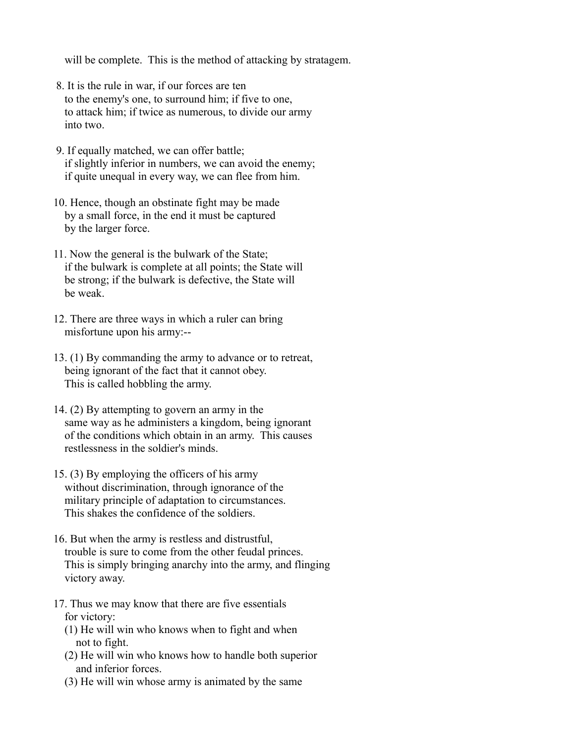will be complete. This is the method of attacking by stratagem.

- 8. It is the rule in war, if our forces are ten to the enemy's one, to surround him; if five to one, to attack him; if twice as numerous, to divide our army into two.
- 9. If equally matched, we can offer battle; if slightly inferior in numbers, we can avoid the enemy; if quite unequal in every way, we can flee from him.
- 10. Hence, though an obstinate fight may be made by a small force, in the end it must be captured by the larger force.
- 11. Now the general is the bulwark of the State; if the bulwark is complete at all points; the State will be strong; if the bulwark is defective, the State will be weak.
- 12. There are three ways in which a ruler can bring misfortune upon his army:--
- 13. (1) By commanding the army to advance or to retreat, being ignorant of the fact that it cannot obey. This is called hobbling the army.
- 14. (2) By attempting to govern an army in the same way as he administers a kingdom, being ignorant of the conditions which obtain in an army. This causes restlessness in the soldier's minds.
- 15. (3) By employing the officers of his army without discrimination, through ignorance of the military principle of adaptation to circumstances. This shakes the confidence of the soldiers.
- 16. But when the army is restless and distrustful, trouble is sure to come from the other feudal princes. This is simply bringing anarchy into the army, and flinging victory away.
- 17. Thus we may know that there are five essentials for victory:
	- (1) He will win who knows when to fight and when not to fight.
	- (2) He will win who knows how to handle both superior and inferior forces.
	- (3) He will win whose army is animated by the same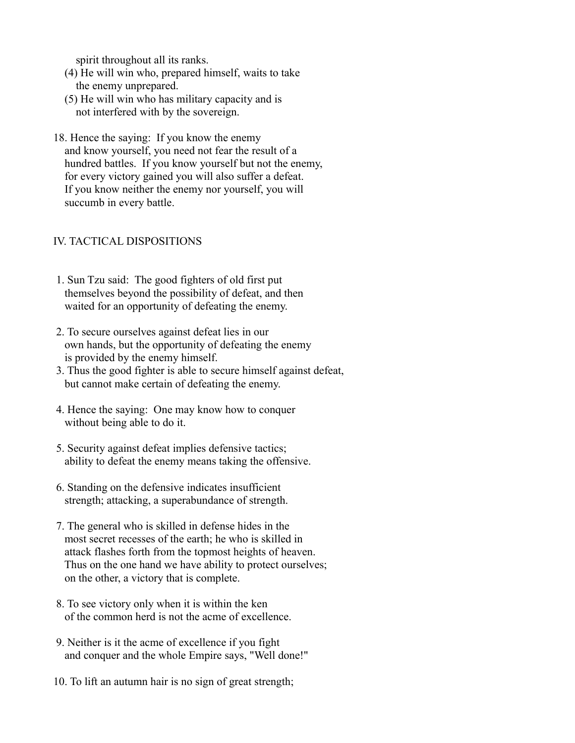spirit throughout all its ranks.

- (4) He will win who, prepared himself, waits to take the enemy unprepared.
- (5) He will win who has military capacity and is not interfered with by the sovereign.
- 18. Hence the saying: If you know the enemy and know yourself, you need not fear the result of a hundred battles. If you know yourself but not the enemy, for every victory gained you will also suffer a defeat. If you know neither the enemy nor yourself, you will succumb in every battle.

## IV. TACTICAL DISPOSITIONS

- 1. Sun Tzu said: The good fighters of old first put themselves beyond the possibility of defeat, and then waited for an opportunity of defeating the enemy.
- 2. To secure ourselves against defeat lies in our own hands, but the opportunity of defeating the enemy is provided by the enemy himself.
- 3. Thus the good fighter is able to secure himself against defeat, but cannot make certain of defeating the enemy.
- 4. Hence the saying: One may know how to conquer without being able to do it.
- 5. Security against defeat implies defensive tactics; ability to defeat the enemy means taking the offensive.
- 6. Standing on the defensive indicates insufficient strength; attacking, a superabundance of strength.
- 7. The general who is skilled in defense hides in the most secret recesses of the earth; he who is skilled in attack flashes forth from the topmost heights of heaven. Thus on the one hand we have ability to protect ourselves; on the other, a victory that is complete.
- 8. To see victory only when it is within the ken of the common herd is not the acme of excellence.
- 9. Neither is it the acme of excellence if you fight and conquer and the whole Empire says, "Well done!"
- 10. To lift an autumn hair is no sign of great strength;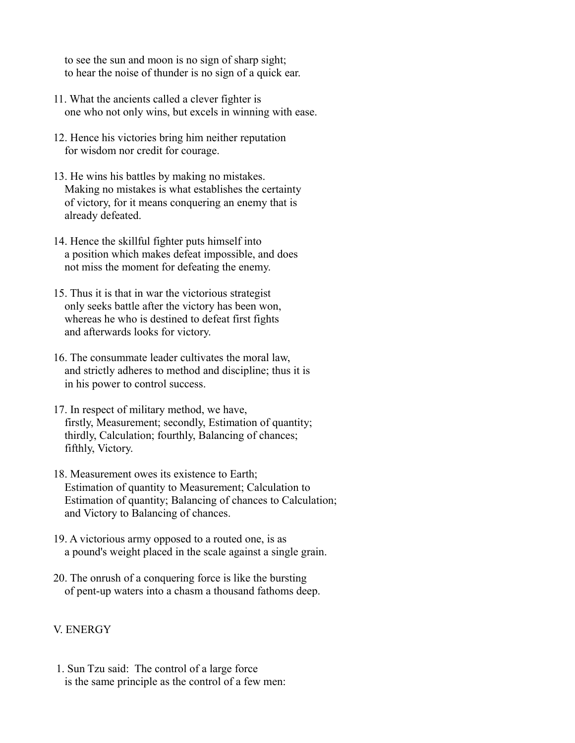to see the sun and moon is no sign of sharp sight; to hear the noise of thunder is no sign of a quick ear.

- 11. What the ancients called a clever fighter is one who not only wins, but excels in winning with ease.
- 12. Hence his victories bring him neither reputation for wisdom nor credit for courage.
- 13. He wins his battles by making no mistakes. Making no mistakes is what establishes the certainty of victory, for it means conquering an enemy that is already defeated.
- 14. Hence the skillful fighter puts himself into a position which makes defeat impossible, and does not miss the moment for defeating the enemy.
- 15. Thus it is that in war the victorious strategist only seeks battle after the victory has been won, whereas he who is destined to defeat first fights and afterwards looks for victory.
- 16. The consummate leader cultivates the moral law, and strictly adheres to method and discipline; thus it is in his power to control success.
- 17. In respect of military method, we have, firstly, Measurement; secondly, Estimation of quantity; thirdly, Calculation; fourthly, Balancing of chances; fifthly, Victory.
- 18. Measurement owes its existence to Earth; Estimation of quantity to Measurement; Calculation to Estimation of quantity; Balancing of chances to Calculation; and Victory to Balancing of chances.
- 19. A victorious army opposed to a routed one, is as a pound's weight placed in the scale against a single grain.
- 20. The onrush of a conquering force is like the bursting of pent-up waters into a chasm a thousand fathoms deep.

## V. ENERGY

 1. Sun Tzu said: The control of a large force is the same principle as the control of a few men: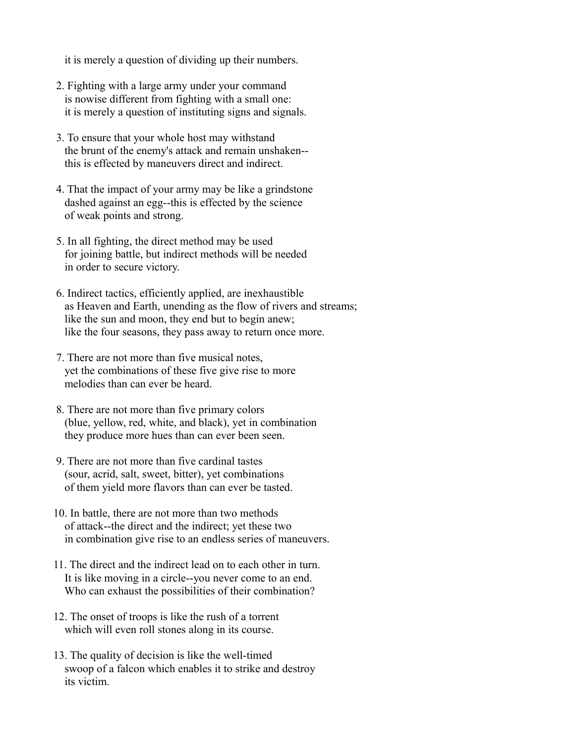it is merely a question of dividing up their numbers.

- 2. Fighting with a large army under your command is nowise different from fighting with a small one: it is merely a question of instituting signs and signals.
- 3. To ensure that your whole host may withstand the brunt of the enemy's attack and remain unshaken- this is effected by maneuvers direct and indirect.
- 4. That the impact of your army may be like a grindstone dashed against an egg--this is effected by the science of weak points and strong.
- 5. In all fighting, the direct method may be used for joining battle, but indirect methods will be needed in order to secure victory.
- 6. Indirect tactics, efficiently applied, are inexhaustible as Heaven and Earth, unending as the flow of rivers and streams; like the sun and moon, they end but to begin anew; like the four seasons, they pass away to return once more.
- 7. There are not more than five musical notes, yet the combinations of these five give rise to more melodies than can ever be heard.
- 8. There are not more than five primary colors (blue, yellow, red, white, and black), yet in combination they produce more hues than can ever been seen.
- 9. There are not more than five cardinal tastes (sour, acrid, salt, sweet, bitter), yet combinations of them yield more flavors than can ever be tasted.
- 10. In battle, there are not more than two methods of attack--the direct and the indirect; yet these two in combination give rise to an endless series of maneuvers.
- 11. The direct and the indirect lead on to each other in turn. It is like moving in a circle--you never come to an end. Who can exhaust the possibilities of their combination?
- 12. The onset of troops is like the rush of a torrent which will even roll stones along in its course.
- 13. The quality of decision is like the well-timed swoop of a falcon which enables it to strike and destroy its victim.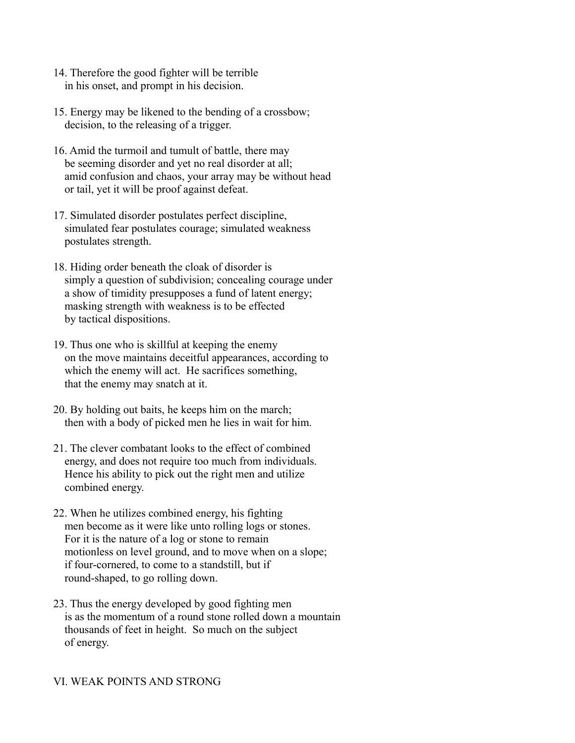- 14. Therefore the good fighter will be terrible in his onset, and prompt in his decision.
- 15. Energy may be likened to the bending of a crossbow; decision, to the releasing of a trigger.
- 16. Amid the turmoil and tumult of battle, there may be seeming disorder and yet no real disorder at all; amid confusion and chaos, your array may be without head or tail, yet it will be proof against defeat.
- 17. Simulated disorder postulates perfect discipline, simulated fear postulates courage; simulated weakness postulates strength.
- 18. Hiding order beneath the cloak of disorder is simply a question of subdivision; concealing courage under a show of timidity presupposes a fund of latent energy; masking strength with weakness is to be effected by tactical dispositions.
- 19. Thus one who is skillful at keeping the enemy on the move maintains deceitful appearances, according to which the enemy will act. He sacrifices something, that the enemy may snatch at it.
- 20. By holding out baits, he keeps him on the march; then with a body of picked men he lies in wait for him.
- 21. The clever combatant looks to the effect of combined energy, and does not require too much from individuals. Hence his ability to pick out the right men and utilize combined energy.
- 22. When he utilizes combined energy, his fighting men become as it were like unto rolling logs or stones. For it is the nature of a log or stone to remain motionless on level ground, and to move when on a slope; if four-cornered, to come to a standstill, but if round-shaped, to go rolling down.
- 23. Thus the energy developed by good fighting men is as the momentum of a round stone rolled down a mountain thousands of feet in height. So much on the subject of energy.

#### VI. WEAK POINTS AND STRONG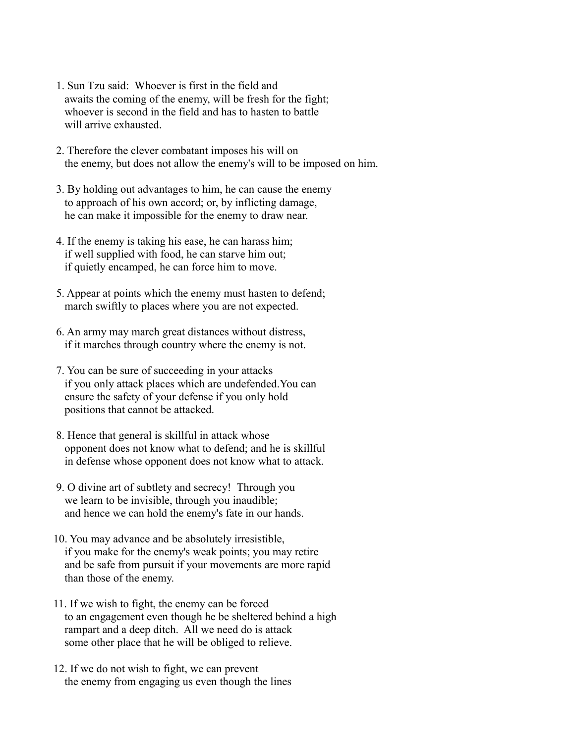- 1. Sun Tzu said: Whoever is first in the field and awaits the coming of the enemy, will be fresh for the fight; whoever is second in the field and has to hasten to battle will arrive exhausted.
- 2. Therefore the clever combatant imposes his will on the enemy, but does not allow the enemy's will to be imposed on him.
- 3. By holding out advantages to him, he can cause the enemy to approach of his own accord; or, by inflicting damage, he can make it impossible for the enemy to draw near.
- 4. If the enemy is taking his ease, he can harass him; if well supplied with food, he can starve him out; if quietly encamped, he can force him to move.
- 5. Appear at points which the enemy must hasten to defend; march swiftly to places where you are not expected.
- 6. An army may march great distances without distress, if it marches through country where the enemy is not.
- 7. You can be sure of succeeding in your attacks if you only attack places which are undefended.You can ensure the safety of your defense if you only hold positions that cannot be attacked.
- 8. Hence that general is skillful in attack whose opponent does not know what to defend; and he is skillful in defense whose opponent does not know what to attack.
- 9. O divine art of subtlety and secrecy! Through you we learn to be invisible, through you inaudible; and hence we can hold the enemy's fate in our hands.
- 10. You may advance and be absolutely irresistible, if you make for the enemy's weak points; you may retire and be safe from pursuit if your movements are more rapid than those of the enemy.
- 11. If we wish to fight, the enemy can be forced to an engagement even though he be sheltered behind a high rampart and a deep ditch. All we need do is attack some other place that he will be obliged to relieve.
- 12. If we do not wish to fight, we can prevent the enemy from engaging us even though the lines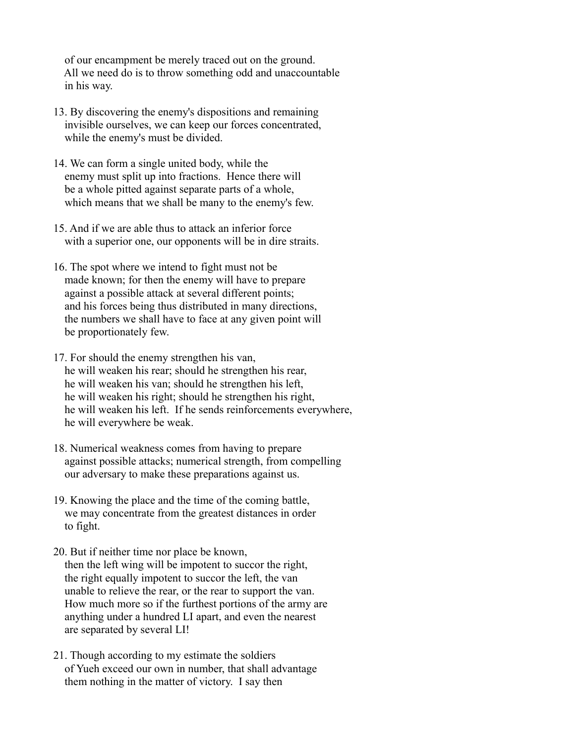of our encampment be merely traced out on the ground. All we need do is to throw something odd and unaccountable in his way.

- 13. By discovering the enemy's dispositions and remaining invisible ourselves, we can keep our forces concentrated, while the enemy's must be divided.
- 14. We can form a single united body, while the enemy must split up into fractions. Hence there will be a whole pitted against separate parts of a whole, which means that we shall be many to the enemy's few.
- 15. And if we are able thus to attack an inferior force with a superior one, our opponents will be in dire straits.
- 16. The spot where we intend to fight must not be made known; for then the enemy will have to prepare against a possible attack at several different points; and his forces being thus distributed in many directions, the numbers we shall have to face at any given point will be proportionately few.
- 17. For should the enemy strengthen his van, he will weaken his rear; should he strengthen his rear, he will weaken his van; should he strengthen his left, he will weaken his right; should he strengthen his right, he will weaken his left. If he sends reinforcements everywhere, he will everywhere be weak.
- 18. Numerical weakness comes from having to prepare against possible attacks; numerical strength, from compelling our adversary to make these preparations against us.
- 19. Knowing the place and the time of the coming battle, we may concentrate from the greatest distances in order to fight.
- 20. But if neither time nor place be known, then the left wing will be impotent to succor the right, the right equally impotent to succor the left, the van unable to relieve the rear, or the rear to support the van. How much more so if the furthest portions of the army are anything under a hundred LI apart, and even the nearest are separated by several LI!
- 21. Though according to my estimate the soldiers of Yueh exceed our own in number, that shall advantage them nothing in the matter of victory. I say then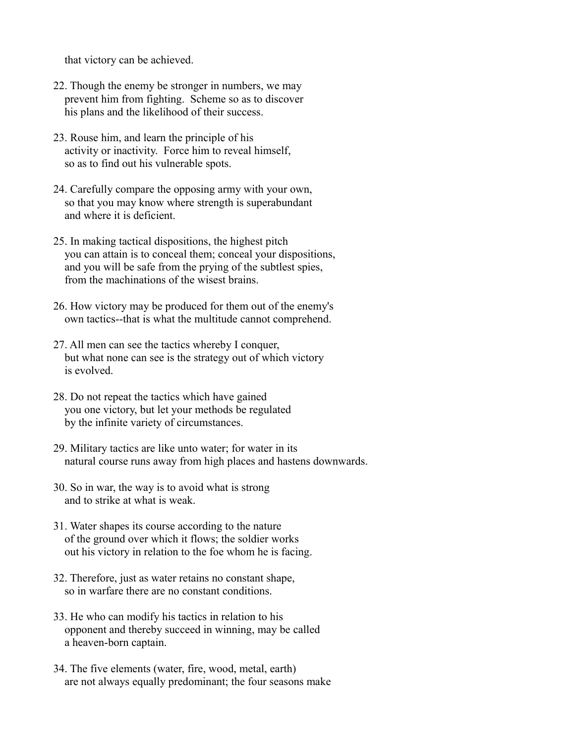that victory can be achieved.

- 22. Though the enemy be stronger in numbers, we may prevent him from fighting. Scheme so as to discover his plans and the likelihood of their success.
- 23. Rouse him, and learn the principle of his activity or inactivity. Force him to reveal himself, so as to find out his vulnerable spots.
- 24. Carefully compare the opposing army with your own, so that you may know where strength is superabundant and where it is deficient.
- 25. In making tactical dispositions, the highest pitch you can attain is to conceal them; conceal your dispositions, and you will be safe from the prying of the subtlest spies, from the machinations of the wisest brains.
- 26. How victory may be produced for them out of the enemy's own tactics--that is what the multitude cannot comprehend.
- 27. All men can see the tactics whereby I conquer, but what none can see is the strategy out of which victory is evolved.
- 28. Do not repeat the tactics which have gained you one victory, but let your methods be regulated by the infinite variety of circumstances.
- 29. Military tactics are like unto water; for water in its natural course runs away from high places and hastens downwards.
- 30. So in war, the way is to avoid what is strong and to strike at what is weak.
- 31. Water shapes its course according to the nature of the ground over which it flows; the soldier works out his victory in relation to the foe whom he is facing.
- 32. Therefore, just as water retains no constant shape, so in warfare there are no constant conditions.
- 33. He who can modify his tactics in relation to his opponent and thereby succeed in winning, may be called a heaven-born captain.
- 34. The five elements (water, fire, wood, metal, earth) are not always equally predominant; the four seasons make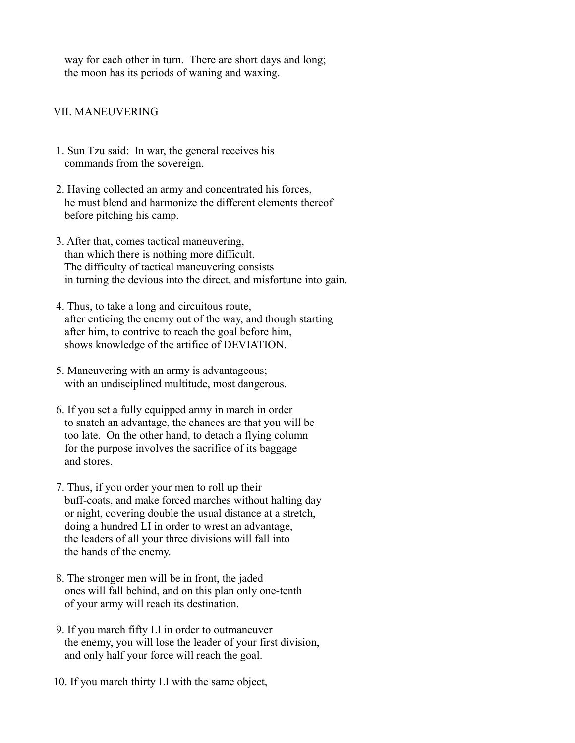way for each other in turn. There are short days and long; the moon has its periods of waning and waxing.

### VII. MANEUVERING

- 1. Sun Tzu said: In war, the general receives his commands from the sovereign.
- 2. Having collected an army and concentrated his forces, he must blend and harmonize the different elements thereof before pitching his camp.
- 3. After that, comes tactical maneuvering, than which there is nothing more difficult. The difficulty of tactical maneuvering consists in turning the devious into the direct, and misfortune into gain.
- 4. Thus, to take a long and circuitous route, after enticing the enemy out of the way, and though starting after him, to contrive to reach the goal before him, shows knowledge of the artifice of DEVIATION.
- 5. Maneuvering with an army is advantageous; with an undisciplined multitude, most dangerous.
- 6. If you set a fully equipped army in march in order to snatch an advantage, the chances are that you will be too late. On the other hand, to detach a flying column for the purpose involves the sacrifice of its baggage and stores.
- 7. Thus, if you order your men to roll up their buff-coats, and make forced marches without halting day or night, covering double the usual distance at a stretch, doing a hundred LI in order to wrest an advantage, the leaders of all your three divisions will fall into the hands of the enemy.
- 8. The stronger men will be in front, the jaded ones will fall behind, and on this plan only one-tenth of your army will reach its destination.
- 9. If you march fifty LI in order to outmaneuver the enemy, you will lose the leader of your first division, and only half your force will reach the goal.
- 10. If you march thirty LI with the same object,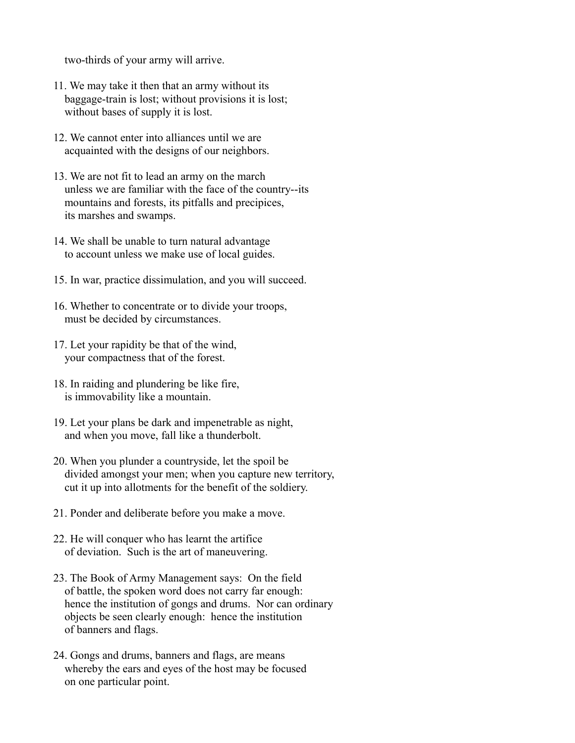two-thirds of your army will arrive.

- 11. We may take it then that an army without its baggage-train is lost; without provisions it is lost; without bases of supply it is lost.
- 12. We cannot enter into alliances until we are acquainted with the designs of our neighbors.
- 13. We are not fit to lead an army on the march unless we are familiar with the face of the country--its mountains and forests, its pitfalls and precipices, its marshes and swamps.
- 14. We shall be unable to turn natural advantage to account unless we make use of local guides.
- 15. In war, practice dissimulation, and you will succeed.
- 16. Whether to concentrate or to divide your troops, must be decided by circumstances.
- 17. Let your rapidity be that of the wind, your compactness that of the forest.
- 18. In raiding and plundering be like fire, is immovability like a mountain.
- 19. Let your plans be dark and impenetrable as night, and when you move, fall like a thunderbolt.
- 20. When you plunder a countryside, let the spoil be divided amongst your men; when you capture new territory, cut it up into allotments for the benefit of the soldiery.
- 21. Ponder and deliberate before you make a move.
- 22. He will conquer who has learnt the artifice of deviation. Such is the art of maneuvering.
- 23. The Book of Army Management says: On the field of battle, the spoken word does not carry far enough: hence the institution of gongs and drums. Nor can ordinary objects be seen clearly enough: hence the institution of banners and flags.
- 24. Gongs and drums, banners and flags, are means whereby the ears and eyes of the host may be focused on one particular point.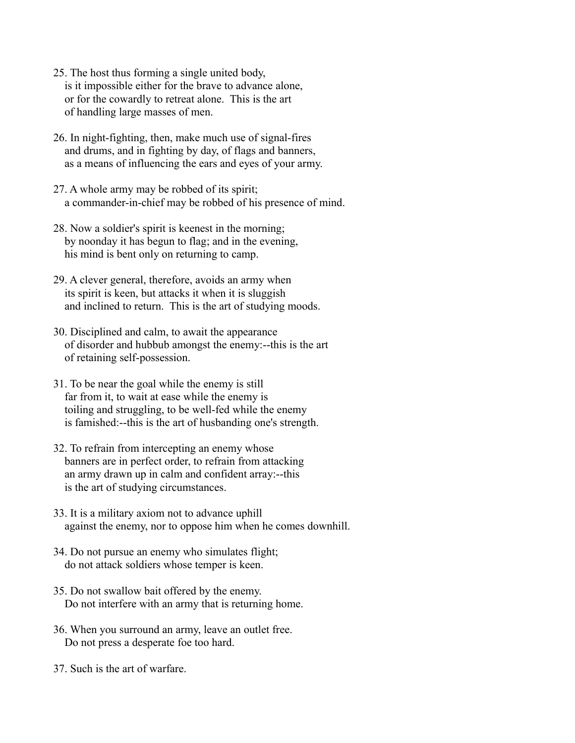- 25. The host thus forming a single united body, is it impossible either for the brave to advance alone, or for the cowardly to retreat alone. This is the art of handling large masses of men.
- 26. In night-fighting, then, make much use of signal-fires and drums, and in fighting by day, of flags and banners, as a means of influencing the ears and eyes of your army.
- 27. A whole army may be robbed of its spirit; a commander-in-chief may be robbed of his presence of mind.
- 28. Now a soldier's spirit is keenest in the morning; by noonday it has begun to flag; and in the evening, his mind is bent only on returning to camp.
- 29. A clever general, therefore, avoids an army when its spirit is keen, but attacks it when it is sluggish and inclined to return. This is the art of studying moods.
- 30. Disciplined and calm, to await the appearance of disorder and hubbub amongst the enemy:--this is the art of retaining self-possession.
- 31. To be near the goal while the enemy is still far from it, to wait at ease while the enemy is toiling and struggling, to be well-fed while the enemy is famished:--this is the art of husbanding one's strength.
- 32. To refrain from intercepting an enemy whose banners are in perfect order, to refrain from attacking an army drawn up in calm and confident array:--this is the art of studying circumstances.
- 33. It is a military axiom not to advance uphill against the enemy, nor to oppose him when he comes downhill.
- 34. Do not pursue an enemy who simulates flight; do not attack soldiers whose temper is keen.
- 35. Do not swallow bait offered by the enemy. Do not interfere with an army that is returning home.
- 36. When you surround an army, leave an outlet free. Do not press a desperate foe too hard.
- 37. Such is the art of warfare.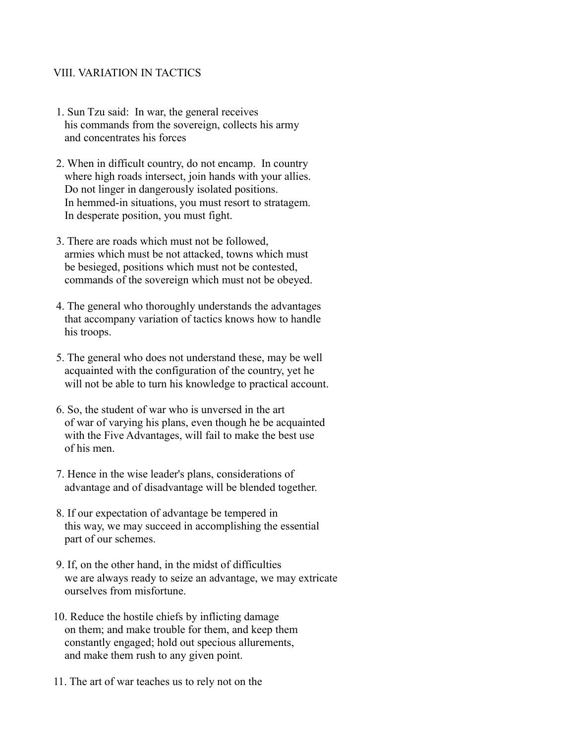### VIII. VARIATION IN TACTICS

- 1. Sun Tzu said: In war, the general receives his commands from the sovereign, collects his army and concentrates his forces
- 2. When in difficult country, do not encamp. In country where high roads intersect, join hands with your allies. Do not linger in dangerously isolated positions. In hemmed-in situations, you must resort to stratagem. In desperate position, you must fight.
- 3. There are roads which must not be followed, armies which must be not attacked, towns which must be besieged, positions which must not be contested, commands of the sovereign which must not be obeyed.
- 4. The general who thoroughly understands the advantages that accompany variation of tactics knows how to handle his troops.
- 5. The general who does not understand these, may be well acquainted with the configuration of the country, yet he will not be able to turn his knowledge to practical account.
- 6. So, the student of war who is unversed in the art of war of varying his plans, even though he be acquainted with the Five Advantages, will fail to make the best use of his men.
- 7. Hence in the wise leader's plans, considerations of advantage and of disadvantage will be blended together.
- 8. If our expectation of advantage be tempered in this way, we may succeed in accomplishing the essential part of our schemes.
- 9. If, on the other hand, in the midst of difficulties we are always ready to seize an advantage, we may extricate ourselves from misfortune.
- 10. Reduce the hostile chiefs by inflicting damage on them; and make trouble for them, and keep them constantly engaged; hold out specious allurements, and make them rush to any given point.
- 11. The art of war teaches us to rely not on the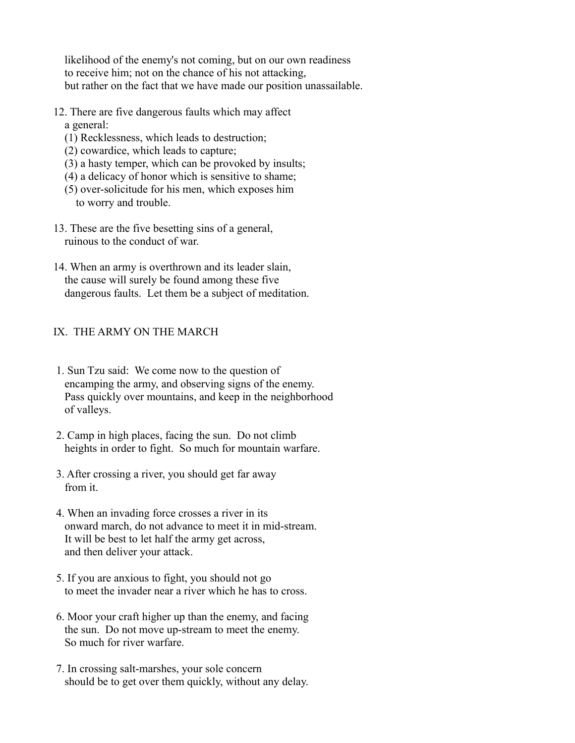likelihood of the enemy's not coming, but on our own readiness to receive him; not on the chance of his not attacking, but rather on the fact that we have made our position unassailable.

- 12. There are five dangerous faults which may affect a general:
	- (1) Recklessness, which leads to destruction;
	- (2) cowardice, which leads to capture;
	- (3) a hasty temper, which can be provoked by insults;
	- (4) a delicacy of honor which is sensitive to shame;
	- (5) over-solicitude for his men, which exposes him to worry and trouble.
- 13. These are the five besetting sins of a general, ruinous to the conduct of war.
- 14. When an army is overthrown and its leader slain, the cause will surely be found among these five dangerous faults. Let them be a subject of meditation.

## IX. THE ARMY ON THE MARCH

- 1. Sun Tzu said: We come now to the question of encamping the army, and observing signs of the enemy. Pass quickly over mountains, and keep in the neighborhood of valleys.
- 2. Camp in high places, facing the sun. Do not climb heights in order to fight. So much for mountain warfare.
- 3. After crossing a river, you should get far away from it.
- 4. When an invading force crosses a river in its onward march, do not advance to meet it in mid-stream. It will be best to let half the army get across, and then deliver your attack.
- 5. If you are anxious to fight, you should not go to meet the invader near a river which he has to cross.
- 6. Moor your craft higher up than the enemy, and facing the sun. Do not move up-stream to meet the enemy. So much for river warfare.
- 7. In crossing salt-marshes, your sole concern should be to get over them quickly, without any delay.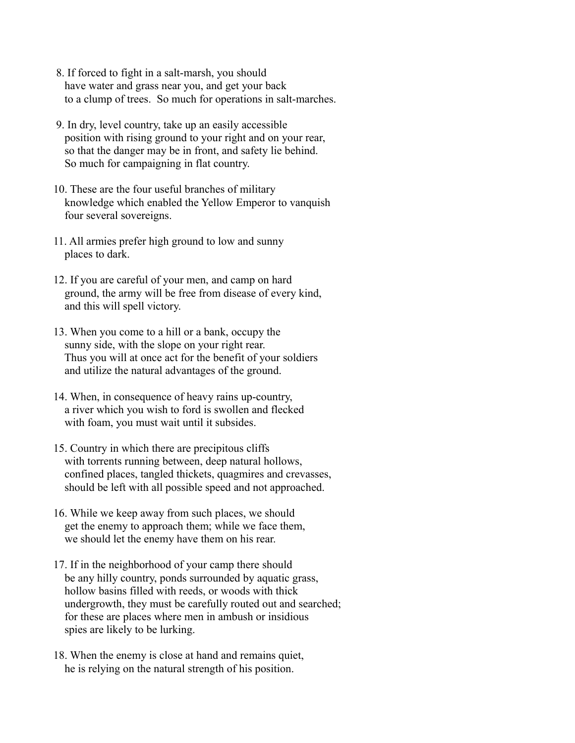- 8. If forced to fight in a salt-marsh, you should have water and grass near you, and get your back to a clump of trees. So much for operations in salt-marches.
- 9. In dry, level country, take up an easily accessible position with rising ground to your right and on your rear, so that the danger may be in front, and safety lie behind. So much for campaigning in flat country.
- 10. These are the four useful branches of military knowledge which enabled the Yellow Emperor to vanquish four several sovereigns.
- 11. All armies prefer high ground to low and sunny places to dark.
- 12. If you are careful of your men, and camp on hard ground, the army will be free from disease of every kind, and this will spell victory.
- 13. When you come to a hill or a bank, occupy the sunny side, with the slope on your right rear. Thus you will at once act for the benefit of your soldiers and utilize the natural advantages of the ground.
- 14. When, in consequence of heavy rains up-country, a river which you wish to ford is swollen and flecked with foam, you must wait until it subsides.
- 15. Country in which there are precipitous cliffs with torrents running between, deep natural hollows, confined places, tangled thickets, quagmires and crevasses, should be left with all possible speed and not approached.
- 16. While we keep away from such places, we should get the enemy to approach them; while we face them, we should let the enemy have them on his rear.
- 17. If in the neighborhood of your camp there should be any hilly country, ponds surrounded by aquatic grass, hollow basins filled with reeds, or woods with thick undergrowth, they must be carefully routed out and searched; for these are places where men in ambush or insidious spies are likely to be lurking.
- 18. When the enemy is close at hand and remains quiet, he is relying on the natural strength of his position.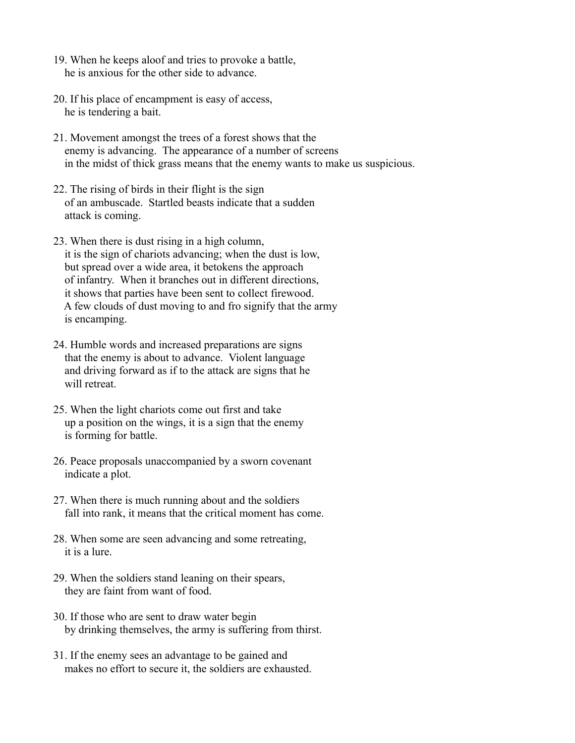- 19. When he keeps aloof and tries to provoke a battle, he is anxious for the other side to advance.
- 20. If his place of encampment is easy of access, he is tendering a bait.
- 21. Movement amongst the trees of a forest shows that the enemy is advancing. The appearance of a number of screens in the midst of thick grass means that the enemy wants to make us suspicious.
- 22. The rising of birds in their flight is the sign of an ambuscade. Startled beasts indicate that a sudden attack is coming.
- 23. When there is dust rising in a high column, it is the sign of chariots advancing; when the dust is low, but spread over a wide area, it betokens the approach of infantry. When it branches out in different directions, it shows that parties have been sent to collect firewood. A few clouds of dust moving to and fro signify that the army is encamping.
- 24. Humble words and increased preparations are signs that the enemy is about to advance. Violent language and driving forward as if to the attack are signs that he will retreat.
- 25. When the light chariots come out first and take up a position on the wings, it is a sign that the enemy is forming for battle.
- 26. Peace proposals unaccompanied by a sworn covenant indicate a plot.
- 27. When there is much running about and the soldiers fall into rank, it means that the critical moment has come.
- 28. When some are seen advancing and some retreating, it is a lure.
- 29. When the soldiers stand leaning on their spears, they are faint from want of food.
- 30. If those who are sent to draw water begin by drinking themselves, the army is suffering from thirst.
- 31. If the enemy sees an advantage to be gained and makes no effort to secure it, the soldiers are exhausted.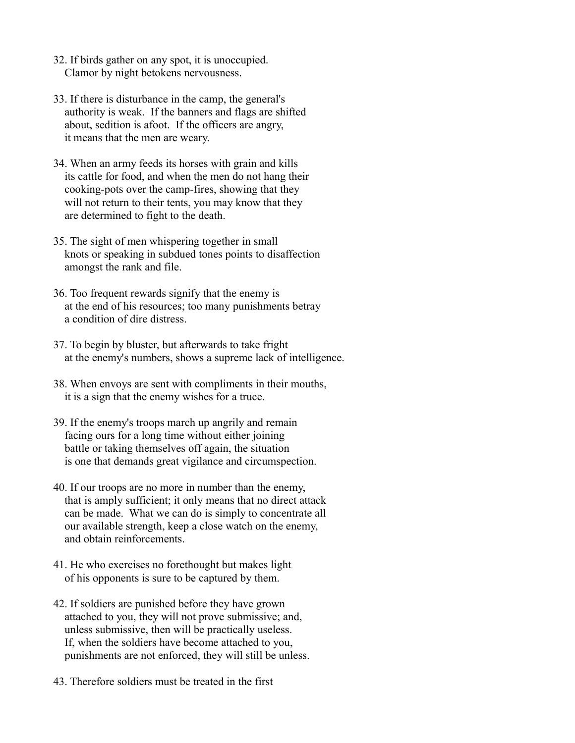- 32. If birds gather on any spot, it is unoccupied. Clamor by night betokens nervousness.
- 33. If there is disturbance in the camp, the general's authority is weak. If the banners and flags are shifted about, sedition is afoot. If the officers are angry, it means that the men are weary.
- 34. When an army feeds its horses with grain and kills its cattle for food, and when the men do not hang their cooking-pots over the camp-fires, showing that they will not return to their tents, you may know that they are determined to fight to the death.
- 35. The sight of men whispering together in small knots or speaking in subdued tones points to disaffection amongst the rank and file.
- 36. Too frequent rewards signify that the enemy is at the end of his resources; too many punishments betray a condition of dire distress.
- 37. To begin by bluster, but afterwards to take fright at the enemy's numbers, shows a supreme lack of intelligence.
- 38. When envoys are sent with compliments in their mouths, it is a sign that the enemy wishes for a truce.
- 39. If the enemy's troops march up angrily and remain facing ours for a long time without either joining battle or taking themselves off again, the situation is one that demands great vigilance and circumspection.
- 40. If our troops are no more in number than the enemy, that is amply sufficient; it only means that no direct attack can be made. What we can do is simply to concentrate all our available strength, keep a close watch on the enemy, and obtain reinforcements.
- 41. He who exercises no forethought but makes light of his opponents is sure to be captured by them.
- 42. If soldiers are punished before they have grown attached to you, they will not prove submissive; and, unless submissive, then will be practically useless. If, when the soldiers have become attached to you, punishments are not enforced, they will still be unless.
- 43. Therefore soldiers must be treated in the first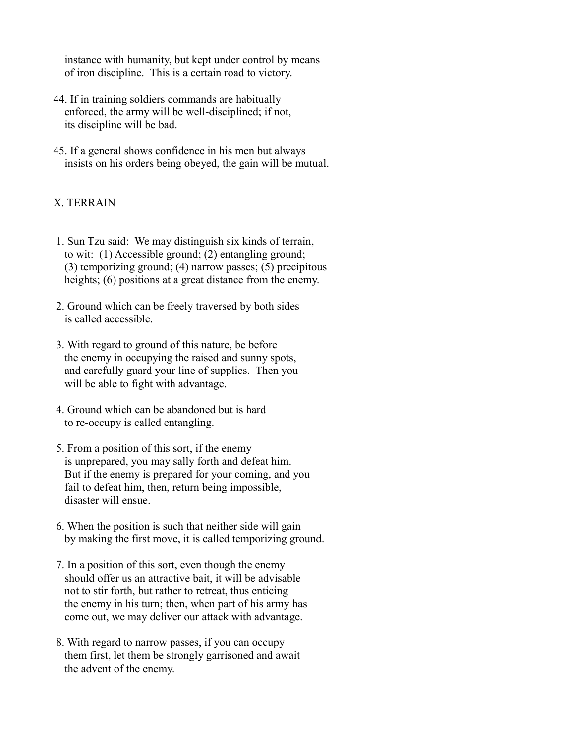instance with humanity, but kept under control by means of iron discipline. This is a certain road to victory.

- 44. If in training soldiers commands are habitually enforced, the army will be well-disciplined; if not, its discipline will be bad.
- 45. If a general shows confidence in his men but always insists on his orders being obeyed, the gain will be mutual.

## X. TERRAIN

- 1. Sun Tzu said: We may distinguish six kinds of terrain, to wit: (1) Accessible ground; (2) entangling ground; (3) temporizing ground; (4) narrow passes; (5) precipitous heights; (6) positions at a great distance from the enemy.
- 2. Ground which can be freely traversed by both sides is called accessible.
- 3. With regard to ground of this nature, be before the enemy in occupying the raised and sunny spots, and carefully guard your line of supplies. Then you will be able to fight with advantage.
- 4. Ground which can be abandoned but is hard to re-occupy is called entangling.
- 5. From a position of this sort, if the enemy is unprepared, you may sally forth and defeat him. But if the enemy is prepared for your coming, and you fail to defeat him, then, return being impossible, disaster will ensue.
- 6. When the position is such that neither side will gain by making the first move, it is called temporizing ground.
- 7. In a position of this sort, even though the enemy should offer us an attractive bait, it will be advisable not to stir forth, but rather to retreat, thus enticing the enemy in his turn; then, when part of his army has come out, we may deliver our attack with advantage.
- 8. With regard to narrow passes, if you can occupy them first, let them be strongly garrisoned and await the advent of the enemy.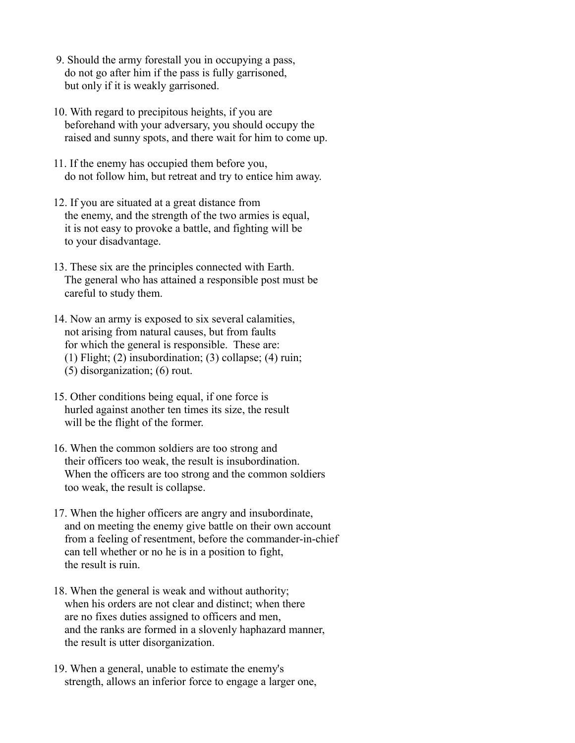- 9. Should the army forestall you in occupying a pass, do not go after him if the pass is fully garrisoned, but only if it is weakly garrisoned.
- 10. With regard to precipitous heights, if you are beforehand with your adversary, you should occupy the raised and sunny spots, and there wait for him to come up.
- 11. If the enemy has occupied them before you, do not follow him, but retreat and try to entice him away.
- 12. If you are situated at a great distance from the enemy, and the strength of the two armies is equal, it is not easy to provoke a battle, and fighting will be to your disadvantage.
- 13. These six are the principles connected with Earth. The general who has attained a responsible post must be careful to study them.
- 14. Now an army is exposed to six several calamities, not arising from natural causes, but from faults for which the general is responsible. These are: (1) Flight; (2) insubordination; (3) collapse; (4) ruin; (5) disorganization; (6) rout.
- 15. Other conditions being equal, if one force is hurled against another ten times its size, the result
- will be the flight of the former.
- 16. When the common soldiers are too strong and their officers too weak, the result is insubordination. When the officers are too strong and the common soldiers too weak, the result is collapse.
- 17. When the higher officers are angry and insubordinate, and on meeting the enemy give battle on their own account from a feeling of resentment, before the commander-in-chief can tell whether or no he is in a position to fight, the result is ruin.
- 18. When the general is weak and without authority; when his orders are not clear and distinct; when there are no fixes duties assigned to officers and men, and the ranks are formed in a slovenly haphazard manner, the result is utter disorganization.
- 19. When a general, unable to estimate the enemy's strength, allows an inferior force to engage a larger one,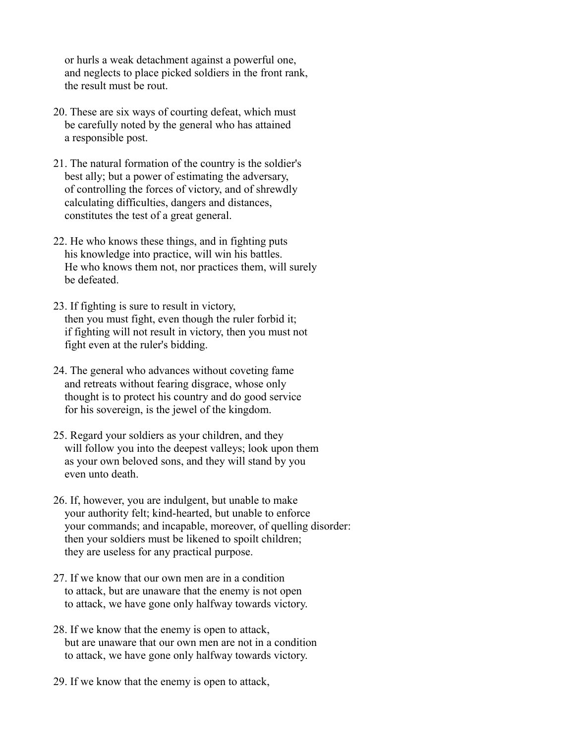or hurls a weak detachment against a powerful one, and neglects to place picked soldiers in the front rank, the result must be rout.

- 20. These are six ways of courting defeat, which must be carefully noted by the general who has attained a responsible post.
- 21. The natural formation of the country is the soldier's best ally; but a power of estimating the adversary, of controlling the forces of victory, and of shrewdly calculating difficulties, dangers and distances, constitutes the test of a great general.
- 22. He who knows these things, and in fighting puts his knowledge into practice, will win his battles. He who knows them not, nor practices them, will surely be defeated.
- 23. If fighting is sure to result in victory, then you must fight, even though the ruler forbid it; if fighting will not result in victory, then you must not fight even at the ruler's bidding.
- 24. The general who advances without coveting fame and retreats without fearing disgrace, whose only thought is to protect his country and do good service for his sovereign, is the jewel of the kingdom.
- 25. Regard your soldiers as your children, and they will follow you into the deepest valleys; look upon them as your own beloved sons, and they will stand by you even unto death.
- 26. If, however, you are indulgent, but unable to make your authority felt; kind-hearted, but unable to enforce your commands; and incapable, moreover, of quelling disorder: then your soldiers must be likened to spoilt children; they are useless for any practical purpose.
- 27. If we know that our own men are in a condition to attack, but are unaware that the enemy is not open to attack, we have gone only halfway towards victory.
- 28. If we know that the enemy is open to attack, but are unaware that our own men are not in a condition to attack, we have gone only halfway towards victory.
- 29. If we know that the enemy is open to attack,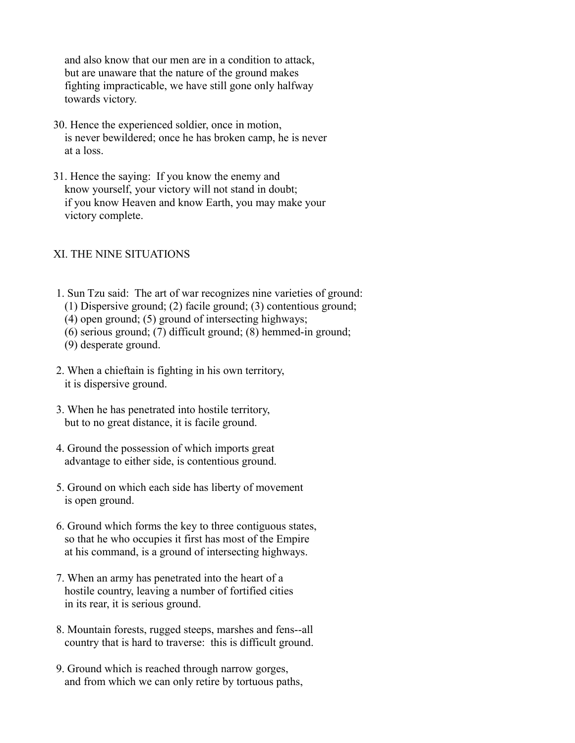and also know that our men are in a condition to attack, but are unaware that the nature of the ground makes fighting impracticable, we have still gone only halfway towards victory.

- 30. Hence the experienced soldier, once in motion, is never bewildered; once he has broken camp, he is never at a loss.
- 31. Hence the saying: If you know the enemy and know yourself, your victory will not stand in doubt; if you know Heaven and know Earth, you may make your victory complete.

#### XI. THE NINE SITUATIONS

- 1. Sun Tzu said: The art of war recognizes nine varieties of ground: (1) Dispersive ground; (2) facile ground; (3) contentious ground;
	- (4) open ground; (5) ground of intersecting highways;
	- (6) serious ground; (7) difficult ground; (8) hemmed-in ground;
	- (9) desperate ground.
- 2. When a chieftain is fighting in his own territory, it is dispersive ground.
- 3. When he has penetrated into hostile territory, but to no great distance, it is facile ground.
- 4. Ground the possession of which imports great advantage to either side, is contentious ground.
- 5. Ground on which each side has liberty of movement is open ground.
- 6. Ground which forms the key to three contiguous states, so that he who occupies it first has most of the Empire at his command, is a ground of intersecting highways.
- 7. When an army has penetrated into the heart of a hostile country, leaving a number of fortified cities in its rear, it is serious ground.
- 8. Mountain forests, rugged steeps, marshes and fens--all country that is hard to traverse: this is difficult ground.
- 9. Ground which is reached through narrow gorges, and from which we can only retire by tortuous paths,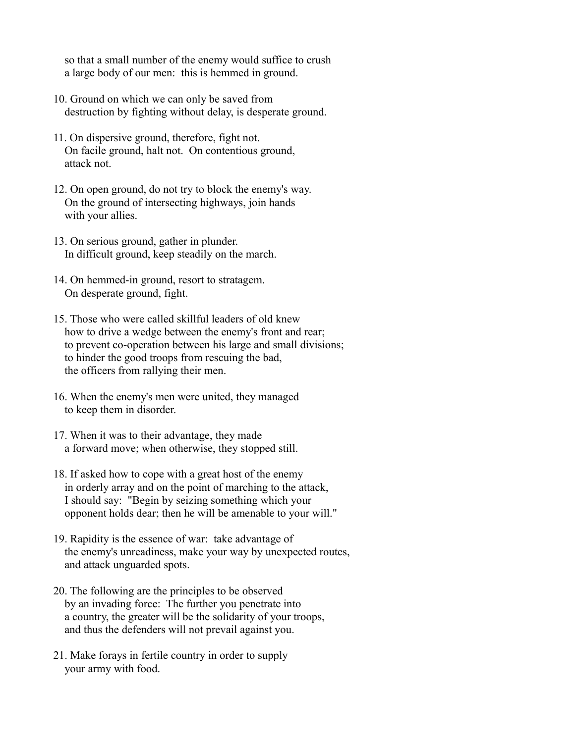so that a small number of the enemy would suffice to crush a large body of our men: this is hemmed in ground.

- 10. Ground on which we can only be saved from destruction by fighting without delay, is desperate ground.
- 11. On dispersive ground, therefore, fight not. On facile ground, halt not. On contentious ground, attack not.
- 12. On open ground, do not try to block the enemy's way. On the ground of intersecting highways, join hands with your allies.
- 13. On serious ground, gather in plunder. In difficult ground, keep steadily on the march.
- 14. On hemmed-in ground, resort to stratagem. On desperate ground, fight.
- 15. Those who were called skillful leaders of old knew how to drive a wedge between the enemy's front and rear; to prevent co-operation between his large and small divisions; to hinder the good troops from rescuing the bad, the officers from rallying their men.
- 16. When the enemy's men were united, they managed to keep them in disorder.
- 17. When it was to their advantage, they made a forward move; when otherwise, they stopped still.
- 18. If asked how to cope with a great host of the enemy in orderly array and on the point of marching to the attack, I should say: "Begin by seizing something which your opponent holds dear; then he will be amenable to your will."
- 19. Rapidity is the essence of war: take advantage of the enemy's unreadiness, make your way by unexpected routes, and attack unguarded spots.
- 20. The following are the principles to be observed by an invading force: The further you penetrate into a country, the greater will be the solidarity of your troops, and thus the defenders will not prevail against you.
- 21. Make forays in fertile country in order to supply your army with food.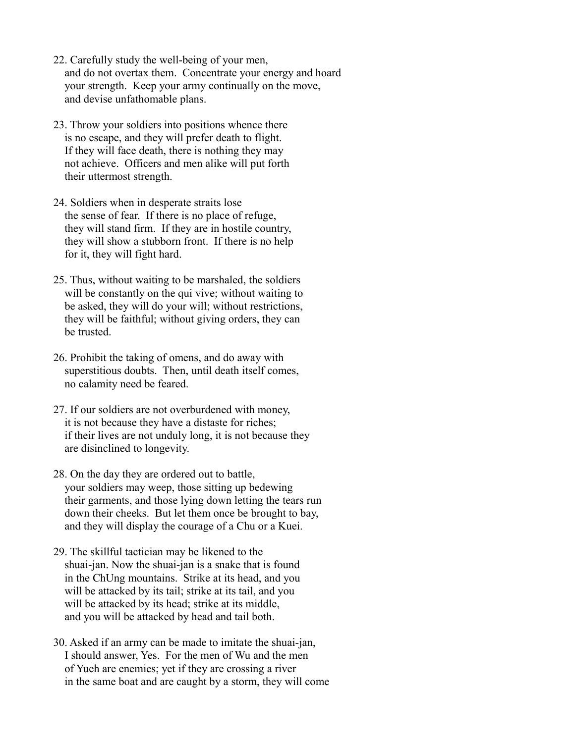- 22. Carefully study the well-being of your men, and do not overtax them. Concentrate your energy and hoard your strength. Keep your army continually on the move, and devise unfathomable plans.
- 23. Throw your soldiers into positions whence there is no escape, and they will prefer death to flight. If they will face death, there is nothing they may not achieve. Officers and men alike will put forth their uttermost strength.
- 24. Soldiers when in desperate straits lose the sense of fear. If there is no place of refuge, they will stand firm. If they are in hostile country, they will show a stubborn front. If there is no help for it, they will fight hard.
- 25. Thus, without waiting to be marshaled, the soldiers will be constantly on the qui vive; without waiting to be asked, they will do your will; without restrictions, they will be faithful; without giving orders, they can be trusted.
- 26. Prohibit the taking of omens, and do away with superstitious doubts. Then, until death itself comes, no calamity need be feared.
- 27. If our soldiers are not overburdened with money, it is not because they have a distaste for riches; if their lives are not unduly long, it is not because they are disinclined to longevity.
- 28. On the day they are ordered out to battle, your soldiers may weep, those sitting up bedewing their garments, and those lying down letting the tears run down their cheeks. But let them once be brought to bay, and they will display the courage of a Chu or a Kuei.
- 29. The skillful tactician may be likened to the shuai-jan. Now the shuai-jan is a snake that is found in the ChUng mountains. Strike at its head, and you will be attacked by its tail; strike at its tail, and you will be attacked by its head; strike at its middle, and you will be attacked by head and tail both.
- 30. Asked if an army can be made to imitate the shuai-jan, I should answer, Yes. For the men of Wu and the men of Yueh are enemies; yet if they are crossing a river in the same boat and are caught by a storm, they will come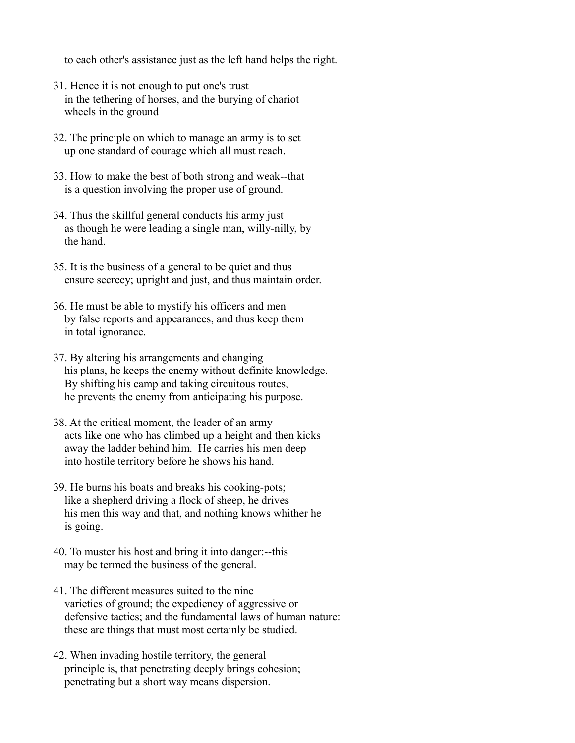to each other's assistance just as the left hand helps the right.

- 31. Hence it is not enough to put one's trust in the tethering of horses, and the burying of chariot wheels in the ground
- 32. The principle on which to manage an army is to set up one standard of courage which all must reach.
- 33. How to make the best of both strong and weak--that is a question involving the proper use of ground.
- 34. Thus the skillful general conducts his army just as though he were leading a single man, willy-nilly, by the hand.
- 35. It is the business of a general to be quiet and thus ensure secrecy; upright and just, and thus maintain order.
- 36. He must be able to mystify his officers and men by false reports and appearances, and thus keep them in total ignorance.
- 37. By altering his arrangements and changing his plans, he keeps the enemy without definite knowledge. By shifting his camp and taking circuitous routes, he prevents the enemy from anticipating his purpose.
- 38. At the critical moment, the leader of an army acts like one who has climbed up a height and then kicks away the ladder behind him. He carries his men deep into hostile territory before he shows his hand.
- 39. He burns his boats and breaks his cooking-pots; like a shepherd driving a flock of sheep, he drives his men this way and that, and nothing knows whither he is going.
- 40. To muster his host and bring it into danger:--this may be termed the business of the general.
- 41. The different measures suited to the nine varieties of ground; the expediency of aggressive or defensive tactics; and the fundamental laws of human nature: these are things that must most certainly be studied.
- 42. When invading hostile territory, the general principle is, that penetrating deeply brings cohesion; penetrating but a short way means dispersion.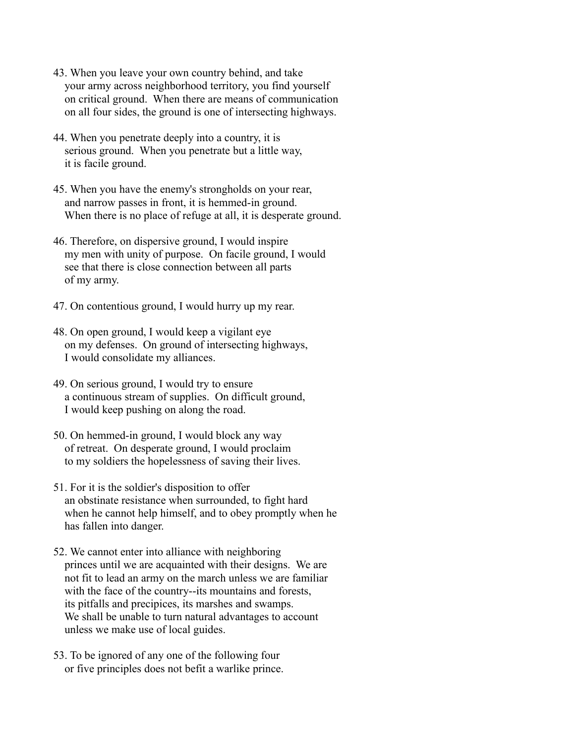- 43. When you leave your own country behind, and take your army across neighborhood territory, you find yourself on critical ground. When there are means of communication on all four sides, the ground is one of intersecting highways.
- 44. When you penetrate deeply into a country, it is serious ground. When you penetrate but a little way, it is facile ground.
- 45. When you have the enemy's strongholds on your rear, and narrow passes in front, it is hemmed-in ground. When there is no place of refuge at all, it is desperate ground.
- 46. Therefore, on dispersive ground, I would inspire my men with unity of purpose. On facile ground, I would see that there is close connection between all parts of my army.
- 47. On contentious ground, I would hurry up my rear.
- 48. On open ground, I would keep a vigilant eye on my defenses. On ground of intersecting highways, I would consolidate my alliances.
- 49. On serious ground, I would try to ensure a continuous stream of supplies. On difficult ground, I would keep pushing on along the road.
- 50. On hemmed-in ground, I would block any way of retreat. On desperate ground, I would proclaim to my soldiers the hopelessness of saving their lives.
- 51. For it is the soldier's disposition to offer an obstinate resistance when surrounded, to fight hard when he cannot help himself, and to obey promptly when he has fallen into danger.
- 52. We cannot enter into alliance with neighboring princes until we are acquainted with their designs. We are not fit to lead an army on the march unless we are familiar with the face of the country--its mountains and forests, its pitfalls and precipices, its marshes and swamps. We shall be unable to turn natural advantages to account unless we make use of local guides.
- 53. To be ignored of any one of the following four or five principles does not befit a warlike prince.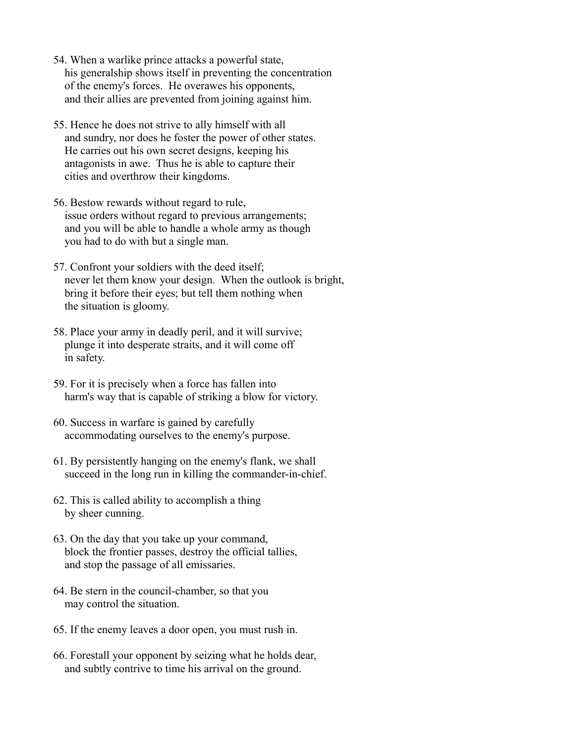- 54. When a warlike prince attacks a powerful state, his generalship shows itself in preventing the concentration of the enemy's forces. He overawes his opponents, and their allies are prevented from joining against him.
- 55. Hence he does not strive to ally himself with all and sundry, nor does he foster the power of other states. He carries out his own secret designs, keeping his antagonists in awe. Thus he is able to capture their cities and overthrow their kingdoms.
- 56. Bestow rewards without regard to rule, issue orders without regard to previous arrangements; and you will be able to handle a whole army as though you had to do with but a single man.
- 57. Confront your soldiers with the deed itself; never let them know your design. When the outlook is bright, bring it before their eyes; but tell them nothing when the situation is gloomy.
- 58. Place your army in deadly peril, and it will survive; plunge it into desperate straits, and it will come off in safety.
- 59. For it is precisely when a force has fallen into harm's way that is capable of striking a blow for victory.
- 60. Success in warfare is gained by carefully accommodating ourselves to the enemy's purpose.
- 61. By persistently hanging on the enemy's flank, we shall succeed in the long run in killing the commander-in-chief.
- 62. This is called ability to accomplish a thing by sheer cunning.
- 63. On the day that you take up your command, block the frontier passes, destroy the official tallies, and stop the passage of all emissaries.
- 64. Be stern in the council-chamber, so that you may control the situation.
- 65. If the enemy leaves a door open, you must rush in.
- 66. Forestall your opponent by seizing what he holds dear, and subtly contrive to time his arrival on the ground.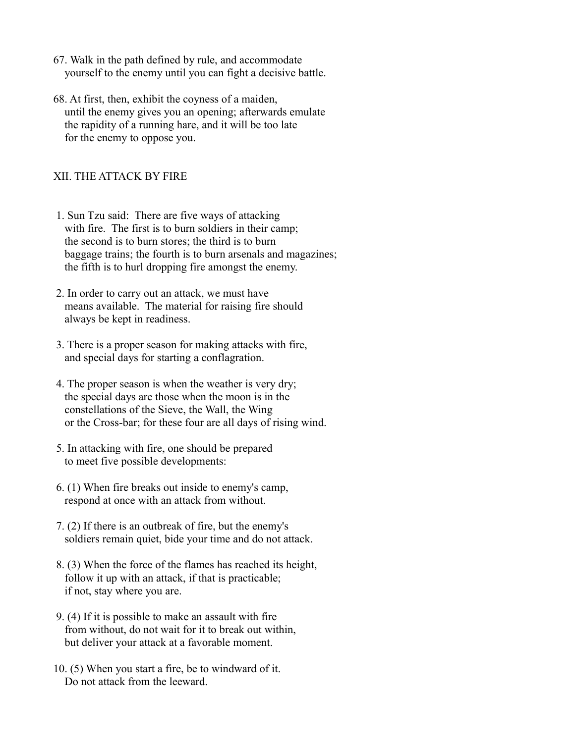- 67. Walk in the path defined by rule, and accommodate yourself to the enemy until you can fight a decisive battle.
- 68. At first, then, exhibit the coyness of a maiden, until the enemy gives you an opening; afterwards emulate the rapidity of a running hare, and it will be too late for the enemy to oppose you.

### XII. THE ATTACK BY FIRE

- 1. Sun Tzu said: There are five ways of attacking with fire. The first is to burn soldiers in their camp; the second is to burn stores; the third is to burn baggage trains; the fourth is to burn arsenals and magazines; the fifth is to hurl dropping fire amongst the enemy.
- 2. In order to carry out an attack, we must have means available. The material for raising fire should always be kept in readiness.
- 3. There is a proper season for making attacks with fire, and special days for starting a conflagration.
- 4. The proper season is when the weather is very dry; the special days are those when the moon is in the constellations of the Sieve, the Wall, the Wing or the Cross-bar; for these four are all days of rising wind.
- 5. In attacking with fire, one should be prepared to meet five possible developments:
- 6. (1) When fire breaks out inside to enemy's camp, respond at once with an attack from without.
- 7. (2) If there is an outbreak of fire, but the enemy's soldiers remain quiet, bide your time and do not attack.
- 8. (3) When the force of the flames has reached its height, follow it up with an attack, if that is practicable; if not, stay where you are.
- 9. (4) If it is possible to make an assault with fire from without, do not wait for it to break out within, but deliver your attack at a favorable moment.
- 10. (5) When you start a fire, be to windward of it. Do not attack from the leeward.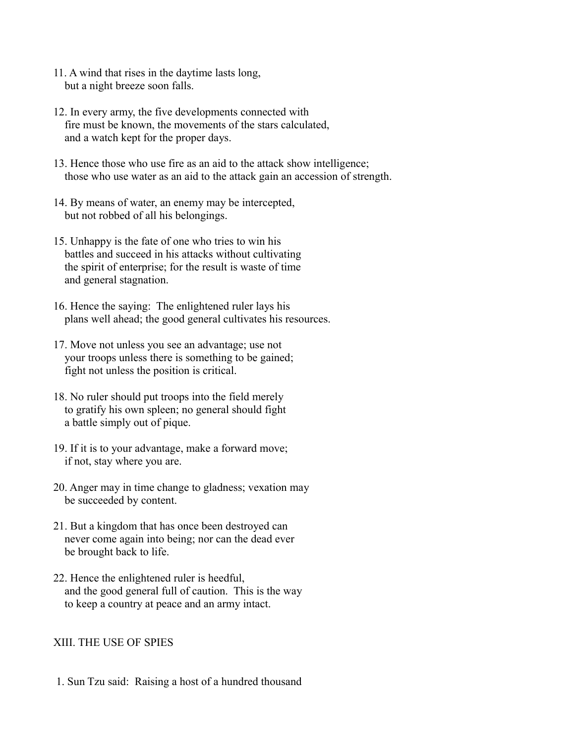- 11. A wind that rises in the daytime lasts long, but a night breeze soon falls.
- 12. In every army, the five developments connected with fire must be known, the movements of the stars calculated, and a watch kept for the proper days.
- 13. Hence those who use fire as an aid to the attack show intelligence; those who use water as an aid to the attack gain an accession of strength.
- 14. By means of water, an enemy may be intercepted, but not robbed of all his belongings.
- 15. Unhappy is the fate of one who tries to win his battles and succeed in his attacks without cultivating the spirit of enterprise; for the result is waste of time and general stagnation.
- 16. Hence the saying: The enlightened ruler lays his plans well ahead; the good general cultivates his resources.
- 17. Move not unless you see an advantage; use not your troops unless there is something to be gained; fight not unless the position is critical.
- 18. No ruler should put troops into the field merely to gratify his own spleen; no general should fight a battle simply out of pique.
- 19. If it is to your advantage, make a forward move; if not, stay where you are.
- 20. Anger may in time change to gladness; vexation may be succeeded by content.
- 21. But a kingdom that has once been destroyed can never come again into being; nor can the dead ever be brought back to life.
- 22. Hence the enlightened ruler is heedful, and the good general full of caution. This is the way to keep a country at peace and an army intact.

#### XIII. THE USE OF SPIES

1. Sun Tzu said: Raising a host of a hundred thousand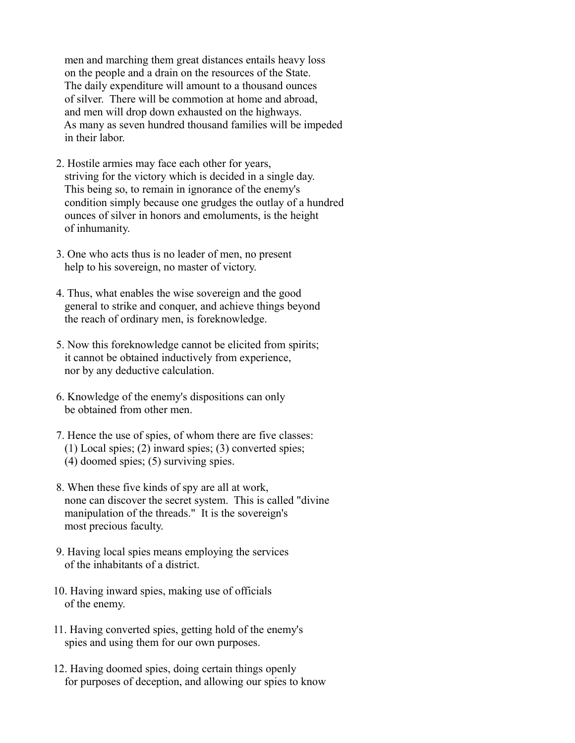men and marching them great distances entails heavy loss on the people and a drain on the resources of the State. The daily expenditure will amount to a thousand ounces of silver. There will be commotion at home and abroad, and men will drop down exhausted on the highways. As many as seven hundred thousand families will be impeded in their labor.

- 2. Hostile armies may face each other for years, striving for the victory which is decided in a single day. This being so, to remain in ignorance of the enemy's condition simply because one grudges the outlay of a hundred ounces of silver in honors and emoluments, is the height of inhumanity.
- 3. One who acts thus is no leader of men, no present help to his sovereign, no master of victory.
- 4. Thus, what enables the wise sovereign and the good general to strike and conquer, and achieve things beyond the reach of ordinary men, is foreknowledge.
- 5. Now this foreknowledge cannot be elicited from spirits; it cannot be obtained inductively from experience, nor by any deductive calculation.
- 6. Knowledge of the enemy's dispositions can only be obtained from other men.
- 7. Hence the use of spies, of whom there are five classes: (1) Local spies; (2) inward spies; (3) converted spies; (4) doomed spies; (5) surviving spies.
- 8. When these five kinds of spy are all at work, none can discover the secret system. This is called "divine manipulation of the threads." It is the sovereign's most precious faculty.
- 9. Having local spies means employing the services of the inhabitants of a district.
- 10. Having inward spies, making use of officials of the enemy.
- 11. Having converted spies, getting hold of the enemy's spies and using them for our own purposes.
- 12. Having doomed spies, doing certain things openly for purposes of deception, and allowing our spies to know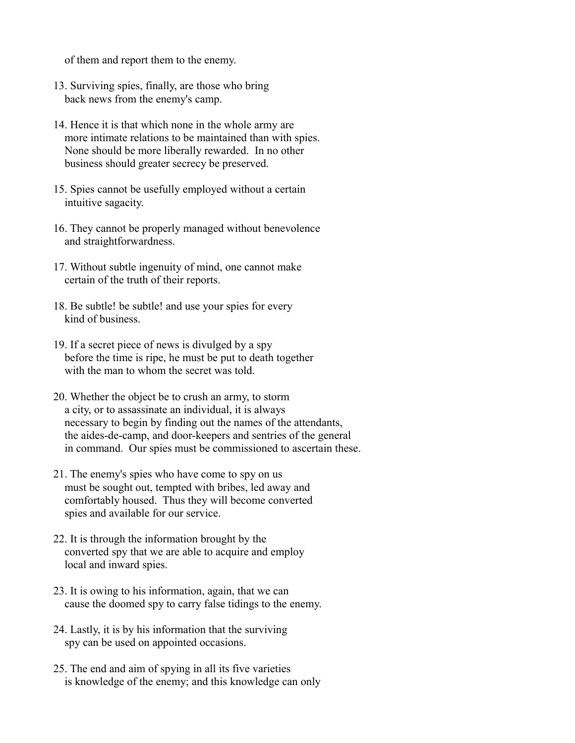of them and report them to the enemy.

- 13. Surviving spies, finally, are those who bring back news from the enemy's camp.
- 14. Hence it is that which none in the whole army are more intimate relations to be maintained than with spies. None should be more liberally rewarded. In no other business should greater secrecy be preserved.
- 15. Spies cannot be usefully employed without a certain intuitive sagacity.
- 16. They cannot be properly managed without benevolence and straightforwardness.
- 17. Without subtle ingenuity of mind, one cannot make certain of the truth of their reports.
- 18. Be subtle! be subtle! and use your spies for every kind of business.
- 19. If a secret piece of news is divulged by a spy before the time is ripe, he must be put to death together with the man to whom the secret was told.
- 20. Whether the object be to crush an army, to storm a city, or to assassinate an individual, it is always necessary to begin by finding out the names of the attendants, the aides-de-camp, and door-keepers and sentries of the general in command. Our spies must be commissioned to ascertain these.
- 21. The enemy's spies who have come to spy on us must be sought out, tempted with bribes, led away and comfortably housed. Thus they will become converted spies and available for our service.
- 22. It is through the information brought by the converted spy that we are able to acquire and employ local and inward spies.
- 23. It is owing to his information, again, that we can cause the doomed spy to carry false tidings to the enemy.
- 24. Lastly, it is by his information that the surviving spy can be used on appointed occasions.
- 25. The end and aim of spying in all its five varieties is knowledge of the enemy; and this knowledge can only